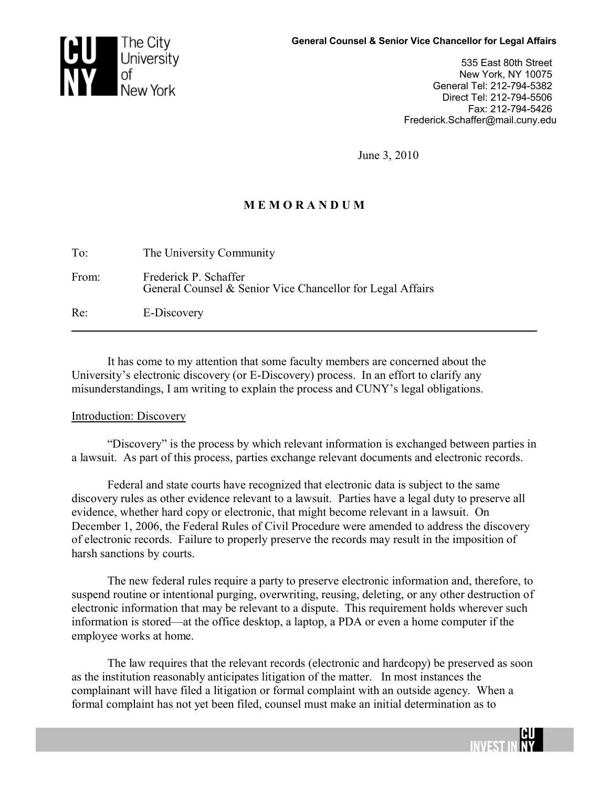

535 East 80th Street New York, NY 10075 General Tel: 212-794-5382 Direct Tel: 212-794-5506 Fax: 212-794-5426 Frederick.Schaffer@mail.cuny.edu

June 3, 2010

# **M E M O R A N D U M**

| To:   | The University Community                                                            |
|-------|-------------------------------------------------------------------------------------|
| From: | Frederick P. Schaffer<br>General Counsel & Senior Vice Chancellor for Legal Affairs |
| Re:   | E-Discovery                                                                         |

It has come to my attention that some faculty members are concerned about the University's electronic discovery (or E-Discovery) process. In an effort to clarify any misunderstandings, I am writing to explain the process and CUNY's legal obligations.

## Introduction: Discovery

"Discovery" is the process by which relevant information is exchanged between parties in a lawsuit. As part of this process, parties exchange relevant documents and electronic records.

Federal and state courts have recognized that electronic data is subject to the same discovery rules as other evidence relevant to a lawsuit. Parties have a legal duty to preserve all evidence, whether hard copy or electronic, that might become relevant in a lawsuit. On December 1, 2006, the Federal Rules of Civil Procedure were amended to address the discovery of electronic records. Failure to properly preserve the records may result in the imposition of harsh sanctions by courts.

The new federal rules require a party to preserve electronic information and, therefore, to suspend routine or intentional purging, overwriting, reusing, deleting, or any other destruction of electronic information that may be relevant to a dispute. This requirement holds wherever such information is stored—at the office desktop, a laptop, a PDA or even a home computer if the employee works at home.

The law requires that the relevant records (electronic and hardcopy) be preserved as soon as the institution reasonably anticipates litigation of the matter. In most instances the complainant will have filed a litigation or formal complaint with an outside agency. When a formal complaint has not yet been filed, counsel must make an initial determination as to

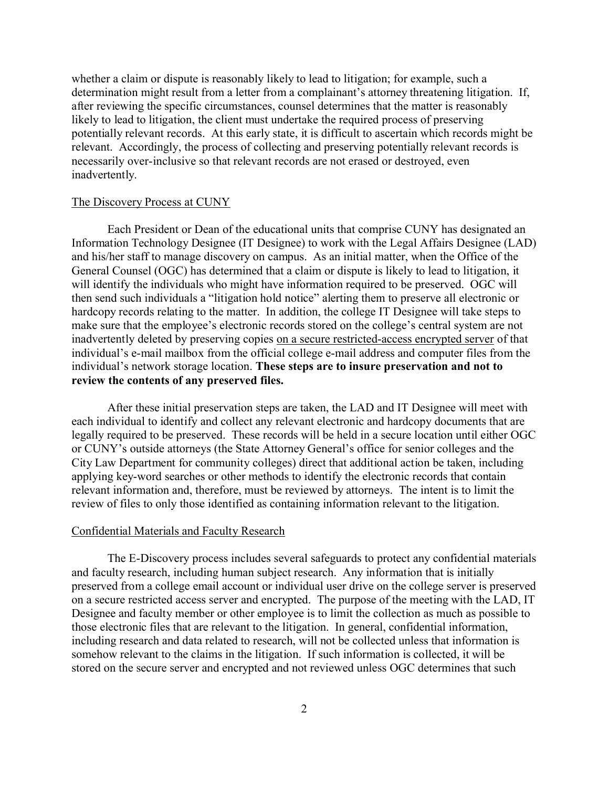whether a claim or dispute is reasonably likely to lead to litigation; for example, such a determination might result from a letter from a complainant's attorney threatening litigation. If, after reviewing the specific circumstances, counsel determines that the matter is reasonably likely to lead to litigation, the client must undertake the required process of preserving potentially relevant records. At this early state, it is difficult to ascertain which records might be relevant. Accordingly, the process of collecting and preserving potentially relevant records is necessarily over-inclusive so that relevant records are not erased or destroyed, even inadvertently.

### The Discovery Process at CUNY

Each President or Dean of the educational units that comprise CUNY has designated an Information Technology Designee (IT Designee) to work with the Legal Affairs Designee (LAD) and his/her staff to manage discovery on campus. As an initial matter, when the Office of the General Counsel (OGC) has determined that a claim or dispute is likely to lead to litigation, it will identify the individuals who might have information required to be preserved. OGC will then send such individuals a "litigation hold notice" alerting them to preserve all electronic or hardcopy records relating to the matter. In addition, the college IT Designee will take steps to make sure that the employee's electronic records stored on the college's central system are not inadvertently deleted by preserving copies on a secure restricted-access encrypted server of that individual's e-mail mailbox from the official college e-mail address and computer files from the individual's network storage location. **These steps are to insure preservation and not to review the contents of any preserved files.**

After these initial preservation steps are taken, the LAD and IT Designee will meet with each individual to identify and collect any relevant electronic and hardcopy documents that are legally required to be preserved. These records will be held in a secure location until either OGC or CUNY's outside attorneys (the State Attorney General's office for senior colleges and the City Law Department for community colleges) direct that additional action be taken, including applying key-word searches or other methods to identify the electronic records that contain relevant information and, therefore, must be reviewed by attorneys. The intent is to limit the review of files to only those identified as containing information relevant to the litigation.

#### Confidential Materials and Faculty Research

The E-Discovery process includes several safeguards to protect any confidential materials and faculty research, including human subject research. Any information that is initially preserved from a college email account or individual user drive on the college server is preserved on a secure restricted access server and encrypted. The purpose of the meeting with the LAD, IT Designee and faculty member or other employee is to limit the collection as much as possible to those electronic files that are relevant to the litigation. In general, confidential information, including research and data related to research, will not be collected unless that information is somehow relevant to the claims in the litigation. If such information is collected, it will be stored on the secure server and encrypted and not reviewed unless OGC determines that such